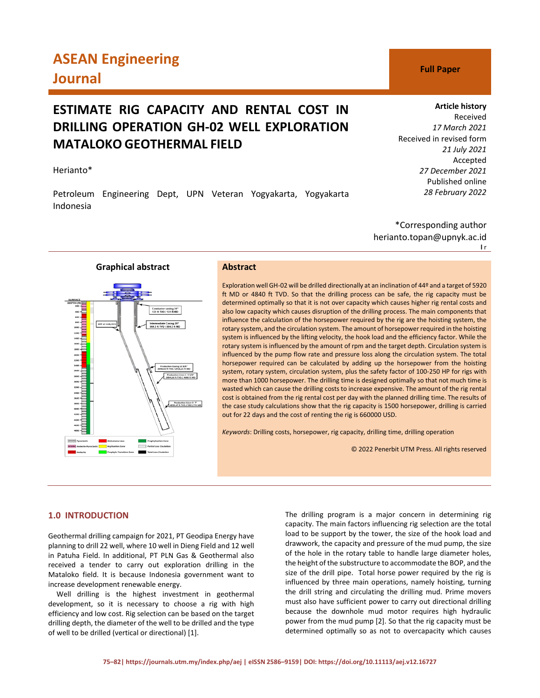# **ASEAN Engineering Journal C Full Paper**

# **ESTIMATE RIG CAPACITY AND RENTAL COST IN DRILLING OPERATION GH-02 WELL EXPLORATION MATALOKO GEOTHERMAL FIELD**

# Herianto\*

Petroleum Engineering Dept, UPN Veteran Yogyakarta, Yogyakarta Indonesia

# **Article history**

Received *17 March 2021* Received in revised form *21 July 2021* Accepted *27 December 2021* Published online *28 February 2022*

\*Corresponding author herianto.topan@upnyk.ac.id **l** r

# **Graphical abstract Abstract**



Exploration well GH-02 will be drilled directionally at an inclination of 44º and a target of 5920 ft MD or 4840 ft TVD. So that the drilling process can be safe, the rig capacity must be determined optimally so that it is not over capacity which causes higher rig rental costs and also low capacity which causes disruption of the drilling process. The main components that influence the calculation of the horsepower required by the rig are the hoisting system, the rotary system, and the circulation system. The amount of horsepower required in the hoisting system is influenced by the lifting velocity, the hook load and the efficiency factor. While the rotary system is influenced by the amount of rpm and the target depth. Circulation system is influenced by the pump flow rate and pressure loss along the circulation system. The total horsepower required can be calculated by adding up the horsepower from the hoisting system, rotary system, circulation system, plus the safety factor of 100-250 HP for rigs with more than 1000 horsepower. The drilling time is designed optimally so that not much time is wasted which can cause the drilling costs to increase expensive. The amount of the rig rental cost is obtained from the rig rental cost per day with the planned drilling time. The results of the case study calculations show that the rig capacity is 1500 horsepower, drilling is carried out for 22 days and the cost of renting the rig is 660000 USD.

*Keywords*: Drilling costs, horsepower, rig capacity, drilling time, drilling operation

© 2022 Penerbit UTM Press. All rights reserved

# **1.0 INTRODUCTION**

Geothermal drilling campaign for 2021, PT Geodipa Energy have planning to drill 22 well, where 10 well in Dieng Field and 12 well in Patuha Field. In additional, PT PLN Gas & Geothermal also received a tender to carry out exploration drilling in the Mataloko field. It is because Indonesia government want to increase development renewable energy.

Well drilling is the highest investment in geothermal development, so it is necessary to choose a rig with high efficiency and low cost. Rig selection can be based on the target drilling depth, the diameter of the well to be drilled and the type of well to be drilled (vertical or directional) [1].

The drilling program is a major concern in determining rig capacity. The main factors influencing rig selection are the total load to be support by the tower, the size of the hook load and drawwork, the capacity and pressure of the mud pump, the size of the hole in the rotary table to handle large diameter holes, the height of the substructure to accommodate the BOP, and the size of the drill pipe. Total horse power required by the rig is influenced by three main operations, namely hoisting, turning the drill string and circulating the drilling mud. Prime movers must also have sufficient power to carry out directional drilling because the downhole mud motor requires high hydraulic power from the mud pump [2]. So that the rig capacity must be determined optimally so as not to overcapacity which causes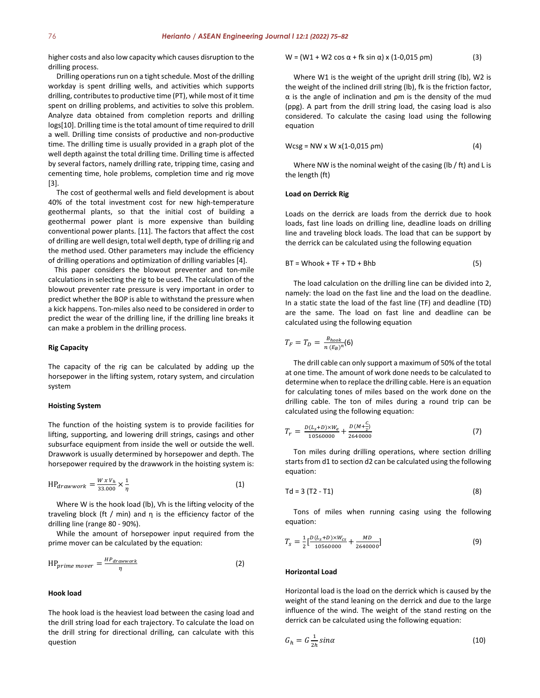higher costs and also low capacity which causes disruption to the drilling process.

Drilling operations run on a tight schedule. Most of the drilling workday is spent drilling wells, and activities which supports drilling, contributes to productive time (PT), while most of it time spent on drilling problems, and activities to solve this problem. Analyze data obtained from completion reports and drilling logs[10]. Drilling time is the total amount of time required to drill a well. Drilling time consists of productive and non-productive time. The drilling time is usually provided in a graph plot of the well depth against the total drilling time. Drilling time is affected by several factors, namely drilling rate, tripping time, casing and cementing time, hole problems, completion time and rig move [3].

The cost of geothermal wells and field development is about 40% of the total investment cost for new high-temperature geothermal plants, so that the initial cost of building a geothermal power plant is more expensive than building conventional power plants. [11]. The factors that affect the cost of drilling are well design, total well depth, type of drilling rig and the method used. Other parameters may include the efficiency of drilling operations and optimization of drilling variables [4].

This paper considers the blowout preventer and ton-mile calculations in selecting the rig to be used. The calculation of the blowout preventer rate pressure is very important in order to predict whether the BOP is able to withstand the pressure when a kick happens. Ton-miles also need to be considered in order to predict the wear of the drilling line, if the drilling line breaks it can make a problem in the drilling process.

#### **Rig Capacity**

The capacity of the rig can be calculated by adding up the horsepower in the lifting system, rotary system, and circulation system

#### **Hoisting System**

The function of the hoisting system is to provide facilities for lifting, supporting, and lowering drill strings, casings and other subsurface equipment from inside the well or outside the well. Drawwork is usually determined by horsepower and depth. The horsepower required by the drawwork in the hoisting system is:

$$
HP_{drawwork} = \frac{W x V_h}{33.000} \times \frac{1}{\eta}
$$
 (1)

Where W is the hook load (lb), Vh is the lifting velocity of the traveling block (ft / min) and η is the efficiency factor of the drilling line (range 80 - 90%).

While the amount of horsepower input required from the prime mover can be calculated by the equation:

$$
HP_{prime\ more} = \frac{HP_{drawwork}}{\eta}
$$
 (2)

#### **Hook load**

The hook load is the heaviest load between the casing load and the drill string load for each trajectory. To calculate the load on the drill string for directional drilling, can calculate with this question

$$
W = (W1 + W2 \cos \alpha + fk \sin \alpha) \times (1-0.015 \text{ pm})
$$
 (3)

Where W1 is the weight of the upright drill string (lb), W2 is the weight of the inclined drill string (lb), fk is the friction factor, α is the angle of inclination and ρm is the density of the mud (ppg). A part from the drill string load, the casing load is also considered. To calculate the casing load using the following equation

$$
Wcsg = NW \times W \times (1-0.015 \text{ pm})
$$
 (4)

Where NW is the nominal weight of the casing (lb / ft) and L is the length (ft)

#### **Load on Derrick Rig**

Loads on the derrick are loads from the derrick due to hook loads, fast line loads on drilling line, deadline loads on drilling line and traveling block loads. The load that can be support by the derrick can be calculated using the following equation

$$
BT = Whook + TF + TD + Bhb \tag{5}
$$

The load calculation on the drilling line can be divided into 2, namely: the load on the fast line and the load on the deadline. In a static state the load of the fast line (TF) and deadline (TD) are the same. The load on fast line and deadline can be calculated using the following equation

$$
T_F = T_D = \frac{B_{hook}}{n(E_B)^n} (6)
$$

The drill cable can only support a maximum of 50% of the total at one time. The amount of work done needs to be calculated to determine when to replace the drilling cable. Here is an equation for calculating tones of miles based on the work done on the drilling cable. The ton of miles during a round trip can be calculated using the following equation:

$$
T_r = \frac{D(L_s + D) \times W_e}{10560000} + \frac{D(M + \frac{C}{2})}{2640000}
$$
 (7)

Ton miles during drilling operations, where section drilling starts from d1 to section d2 can be calculated using the following equation:

$$
Td = 3 (T2 - T1)
$$
 (8)

Tons of miles when running casing using the following equation:

$$
T_s = \frac{1}{2} \left[ \frac{D(L_s + D) \times W_{CS}}{10560000} + \frac{MD}{2640000} \right]
$$
\n(9)

#### **Horizontal Load**

Horizontal load is the load on the derrick which is caused by the weight of the stand leaning on the derrick and due to the large influence of the wind. The weight of the stand resting on the derrick can be calculated using the following equation:

$$
G_h = G \frac{1}{2h} \sin \alpha \tag{10}
$$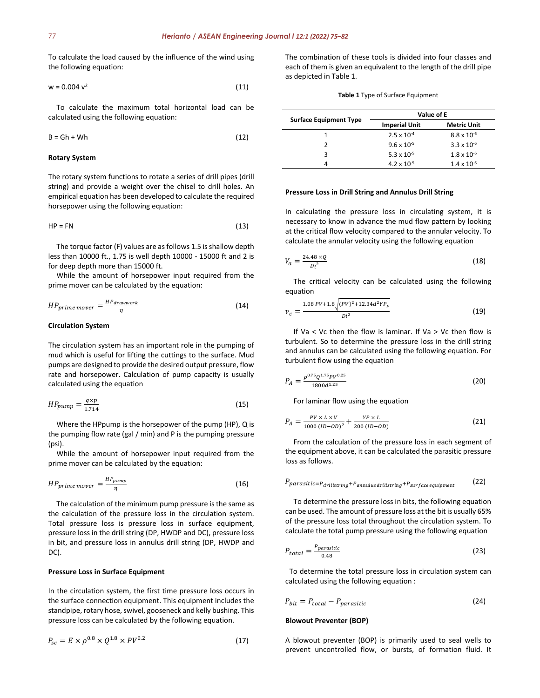To calculate the load caused by the influence of the wind using the following equation:

$$
w = 0.004 \, v^2 \tag{11}
$$

To calculate the maximum total horizontal load can be calculated using the following equation:

$$
B = Gh + Wh
$$
 (12)

#### **Rotary System**

The rotary system functions to rotate a series of drill pipes (drill string) and provide a weight over the chisel to drill holes. An empirical equation has been developed to calculate the required horsepower using the following equation:

$$
HP = FN \tag{13}
$$

The torque factor (F) values are as follows 1.5 is shallow depth less than 10000 ft., 1.75 is well depth 10000 - 15000 ft and 2 is for deep depth more than 15000 ft.

While the amount of horsepower input required from the prime mover can be calculated by the equation:

$$
HP_{prime\ move} = \frac{HP_{drawwork}}{\eta} \tag{14}
$$

### **Circulation System**

The circulation system has an important role in the pumping of mud which is useful for lifting the cuttings to the surface. Mud pumps are designed to provide the desired output pressure, flow rate and horsepower. Calculation of pump capacity is usually calculated using the equation

$$
HP_{pump} = \frac{q \times p}{1.714} \tag{15}
$$

Where the HPpump is the horsepower of the pump (HP), Q is the pumping flow rate (gal / min) and P is the pumping pressure (psi).

While the amount of horsepower input required from the prime mover can be calculated by the equation:

$$
HP_{prime\ move} = \frac{HP_{pump}}{\eta} \tag{16}
$$

The calculation of the minimum pump pressure is the same as the calculation of the pressure loss in the circulation system. Total pressure loss is pressure loss in surface equipment, pressure loss in the drill string (DP, HWDP and DC), pressure loss in bit, and pressure loss in annulus drill string (DP, HWDP and DC).

### **Pressure Loss in Surface Equipment**

In the circulation system, the first time pressure loss occurs in the surface connection equipment. This equipment includes the standpipe, rotary hose, swivel, gooseneck and kelly bushing. This pressure loss can be calculated by the following equation.

$$
P_{sc} = E \times \rho^{0.8} \times Q^{1.8} \times PV^{0.2}
$$
 (17)

The combination of these tools is divided into four classes and each of them is given an equivalent to the length of the drill pipe as depicted in Table 1.

#### **Table 1** Type of Surface Equipment

| <b>Surface Equipment Type</b><br>2<br>3 | Value of E           |                      |  |
|-----------------------------------------|----------------------|----------------------|--|
|                                         | <b>Imperial Unit</b> | <b>Metric Unit</b>   |  |
|                                         | $2.5 \times 10^{-4}$ | $8.8 \times 10^{-6}$ |  |
|                                         | $9.6 \times 10^{-5}$ | $3.3 \times 10^{-6}$ |  |
|                                         | 5.3 x $10^{-5}$      | $1.8 \times 10^{-6}$ |  |
|                                         | $4.2 \times 10^{-5}$ | $1.4 \times 10^{-6}$ |  |

#### **Pressure Loss in Drill String and Annulus Drill String**

In calculating the pressure loss in circulating system, it is necessary to know in advance the mud flow pattern by looking at the critical flow velocity compared to the annular velocity. To calculate the annular velocity using the following equation

$$
V_a = \frac{24.48 \times Q}{D_i^2} \tag{18}
$$

The critical velocity can be calculated using the following equation

$$
v_c = \frac{1.08 \, PV + 1.8 \sqrt{(PV)^2 + 12.34 d^2 Y P_\rho}}{D i^2}
$$
\n(19)

If Va < Vc then the flow is laminar. If Va > Vc then flow is turbulent. So to determine the pressure loss in the drill string and annulus can be calculated using the following equation. For turbulent flow using the equation

$$
P_A = \frac{\rho^{0.75} Q^{1.75} P V^{0.25}}{1800 d^{1.25}}
$$
 (20)

For laminar flow using the equation

$$
P_A = \frac{PV \times L \times V}{1000 (ID - OD)^2} + \frac{YP \times L}{200 (ID - OD)}\tag{21}
$$

From the calculation of the pressure loss in each segment of the equipment above, it can be calculated the parasitic pressure loss as follows.

$$
P_{parasitic=P_{drillstring}+P_{annulus\,drillstring}+P_{surface\, equipment} \qquad (22)
$$

To determine the pressure loss in bits, the following equation can be used. The amount of pressure loss at the bit is usually 65% of the pressure loss total throughout the circulation system. To calculate the total pump pressure using the following equation

$$
P_{total} = \frac{P_{parasitic}}{0.48} \tag{23}
$$

To determine the total pressure loss in circulation system can calculated using the following equation :

$$
P_{bit} = P_{total} - P_{parasitic} \tag{24}
$$

#### **Blowout Preventer (BOP)**

A blowout preventer (BOP) is primarily used to seal wells to prevent uncontrolled flow, or bursts, of formation fluid. It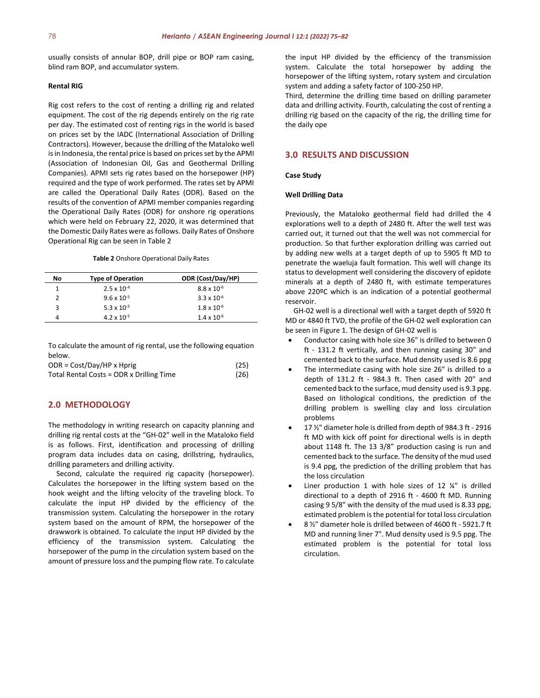usually consists of annular BOP, drill pipe or BOP ram casing, blind ram BOP, and accumulator system.

# **Rental RIG**

Rig cost refers to the cost of renting a drilling rig and related equipment. The cost of the rig depends entirely on the rig rate per day. The estimated cost of renting rigs in the world is based on prices set by the IADC (International Association of Drilling Contractors). However, because the drilling of the Mataloko well is in Indonesia, the rental price is based on prices set by the APMI (Association of Indonesian Oil, Gas and Geothermal Drilling Companies). APMI sets rig rates based on the horsepower (HP) required and the type of work performed. The rates set by APMI are called the Operational Daily Rates (ODR). Based on the results of the convention of APMI member companies regarding the Operational Daily Rates (ODR) for onshore rig operations which were held on February 22, 2020, it was determined that the Domestic Daily Rates were as follows. Daily Rates of Onshore Operational Rig can be seen in Table 2

#### **Table 2** Onshore Operational Daily Rates

| No. | <b>Type of Operation</b> | ODR (Cost/Day/HP)    |
|-----|--------------------------|----------------------|
|     | $2.5 \times 10^{-4}$     | $8.8 \times 10^{-6}$ |
|     | $9.6 \times 10^{-5}$     | $3.3 \times 10^{-6}$ |
| 3   | 5.3 x $10^{-5}$          | $1.8 \times 10^{-6}$ |
|     | $4.2 \times 10^{-5}$     | $1.4 \times 10^{-6}$ |

To calculate the amount of rig rental, use the following equation below.

| $ODR = Cost/Day/HP x Hprig$              | (25) |
|------------------------------------------|------|
| Total Rental Costs = ODR x Drilling Time | (26) |

# **2.0 METHODOLOGY**

The methodology in writing research on capacity planning and drilling rig rental costs at the "GH-02" well in the Mataloko field is as follows. First, identification and processing of drilling program data includes data on casing, drillstring, hydraulics, drilling parameters and drilling activity.

Second, calculate the required rig capacity (horsepower). Calculates the horsepower in the lifting system based on the hook weight and the lifting velocity of the traveling block. To calculate the input HP divided by the efficiency of the transmission system. Calculating the horsepower in the rotary system based on the amount of RPM, the horsepower of the drawwork is obtained. To calculate the input HP divided by the efficiency of the transmission system. Calculating the horsepower of the pump in the circulation system based on the amount of pressure loss and the pumping flow rate. To calculate

the input HP divided by the efficiency of the transmission system. Calculate the total horsepower by adding the horsepower of the lifting system, rotary system and circulation system and adding a safety factor of 100-250 HP.

Third, determine the drilling time based on drilling parameter data and drilling activity. Fourth, calculating the cost of renting a drilling rig based on the capacity of the rig, the drilling time for the daily ope

# **3.0 RESULTS AND DISCUSSION**

# **Case Study**

#### **Well Drilling Data**

Previously, the Mataloko geothermal field had drilled the 4 explorations well to a depth of 2480 ft. After the well test was carried out, it turned out that the well was not commercial for production. So that further exploration drilling was carried out by adding new wells at a target depth of up to 5905 ft MD to penetrate the waeluja fault formation. This well will change its status to development well considering the discovery of epidote minerals at a depth of 2480 ft, with estimate temperatures above 220ºC which is an indication of a potential geothermal reservoir.

GH-02 well is a directional well with a target depth of 5920 ft MD or 4840 ft TVD, the profile of the GH-02 well exploration can be seen in Figure 1. The design of GH-02 well is

- Conductor casing with hole size 36" is drilled to between 0 ft - 131.2 ft vertically, and then running casing 30" and cemented back to the surface. Mud density used is 8.6 ppg
- The intermediate casing with hole size 26" is drilled to a depth of 131.2 ft - 984.3 ft. Then cased with 20" and cemented back to the surface, mud density used is 9.3 ppg. Based on lithological conditions, the prediction of the drilling problem is swelling clay and loss circulation problems
- 17 ½" diameter hole is drilled from depth of 984.3 ft 2916 ft MD with kick off point for directional wells is in depth about 1148 ft. The 13 3/8" production casing is run and cemented back to the surface. The density of the mud used is 9.4 ppg, the prediction of the drilling problem that has the loss circulation
- Liner production 1 with hole sizes of 12  $\frac{1}{4}$  is drilled directional to a depth of 2916 ft - 4600 ft MD. Running casing 9 5/8" with the density of the mud used is 8.33 ppg, estimated problem is the potential for total loss circulation
- 8 ½" diameter hole is drilled between of 4600 ft 5921.7 ft MD and running liner 7". Mud density used is 9.5 ppg. The estimated problem is the potential for total loss circulation.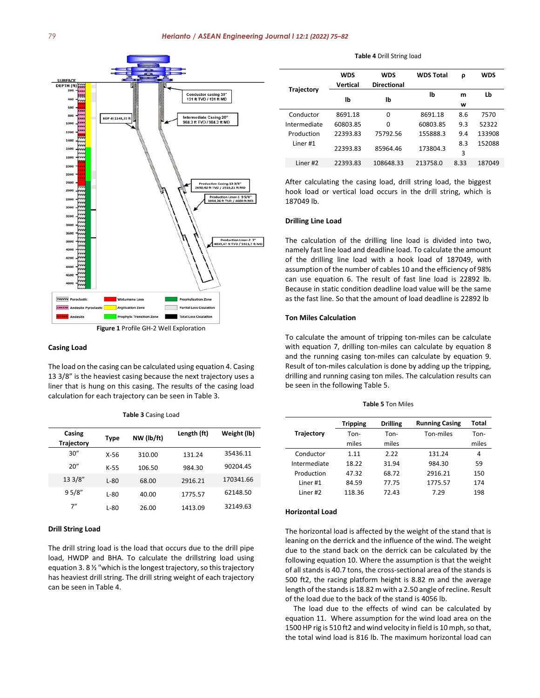

#### **Casing Load**

The load on the casing can be calculated using equation 4. Casing 13 3/8" is the heaviest casing because the next trajectory uses a liner that is hung on this casing. The results of the casing load calculation for each trajectory can be seen in Table 3.

**Casing Trajectory Type NW (lb/ft) Length (ft) Weight (lb)** 30" X-56 310.00 131.24 35436.11 20" K-55 106.50 984.30 90204.45 13 3/8" L-80 68.00 2916.21 170341.66 9 5/8" L-80 40.00 1775.57 62148.50 7" L-80 26.00 1413.09 32149.63

#### **Table 3** Casing Load

# **Drill String Load**

The drill string load is the load that occurs due to the drill pipe load, HWDP and BHA. To calculate the drillstring load using equation 3. 8 ½ "which is the longest trajectory, so this trajectory has heaviest drill string. The drill string weight of each trajectory can be seen in Table 4.

#### **Table 4** Drill String load

|                     | <b>WDS</b> | <b>WDS</b>         | <b>WDS Total</b> | ρ    | <b>WDS</b> |
|---------------------|------------|--------------------|------------------|------|------------|
| <b>Trajectory</b>   | Vertical   | <b>Directional</b> |                  |      |            |
|                     | lb         | lb                 | lb               | m    | Lb         |
|                     |            |                    |                  | w    |            |
| Conductor           | 8691.18    | 0                  | 8691.18          | 8.6  | 7570       |
| Intermediate        | 60803.85   | 0                  | 60803.85         | 9.3  | 52322      |
| Production          | 22393.83   | 75792.56           | 155888.3         | 9.4  | 133908     |
| Liner <sub>#1</sub> | 22393.83   | 85964.46           | 173804.3         | 8.3  | 152088     |
|                     |            |                    |                  | 3    |            |
| Liner <sub>#2</sub> | 22393.83   | 108648.33          | 213758.0         | 8.33 | 187049     |

After calculating the casing load, drill string load, the biggest hook load or vertical load occurs in the drill string, which is 187049 lb.

#### **Drilling Line Load**

The calculation of the drilling line load is divided into two, namely fast line load and deadline load. To calculate the amount of the drilling line load with a hook load of 187049, with assumption of the number of cables 10 and the efficiency of 98% can use equation 6. The result of fast line load is 22892 lb. Because in static condition deadline load value will be the same as the fast line. So that the amount of load deadline is 22892 lb

#### **Ton Miles Calculation**

To calculate the amount of tripping ton-miles can be calculate with equation 7, drilling ton-miles can calculate by equation 8 and the running casing ton-miles can calculate by equation 9. Result of ton-miles calculation is done by adding up the tripping, drilling and running casing ton miles. The calculation results can be seen in the following Table 5.

#### **Table 5** Ton Miles

|                     | <b>Tripping</b> | <b>Drilling</b> | <b>Running Casing</b> | Total |
|---------------------|-----------------|-----------------|-----------------------|-------|
| <b>Trajectory</b>   | Ton-            | Ton-            | Ton-miles             | Ton-  |
|                     | miles           | miles           |                       | miles |
| Conductor           | 1.11            | 2.22            | 131.24                | 4     |
| Intermediate        | 18.22           | 31.94           | 984.30                | 59    |
| Production          | 47.32           | 68.72           | 2916.21               | 150   |
| liner#1             | 84.59           | 77.75           | 1775.57               | 174   |
| Liner <sub>#2</sub> | 118.36          | 72.43           | 7.29                  | 198   |

#### **Horizontal Load**

The horizontal load is affected by the weight of the stand that is leaning on the derrick and the influence of the wind. The weight due to the stand back on the derrick can be calculated by the following equation 10. Where the assumption is that the weight of all stands is 40.7 tons, the cross-sectional area of the stands is 500 ft2, the racing platform height is 8.82 m and the average length of the stands is 18.82 m with a 2.50 angle of recline. Result of the load due to the back of the stand is 4056 lb.

The load due to the effects of wind can be calculated by equation 11. Where assumption for the wind load area on the 1500 HP rig is 510 ft2 and wind velocity in field is 10 mph, so that, the total wind load is 816 lb. The maximum horizontal load can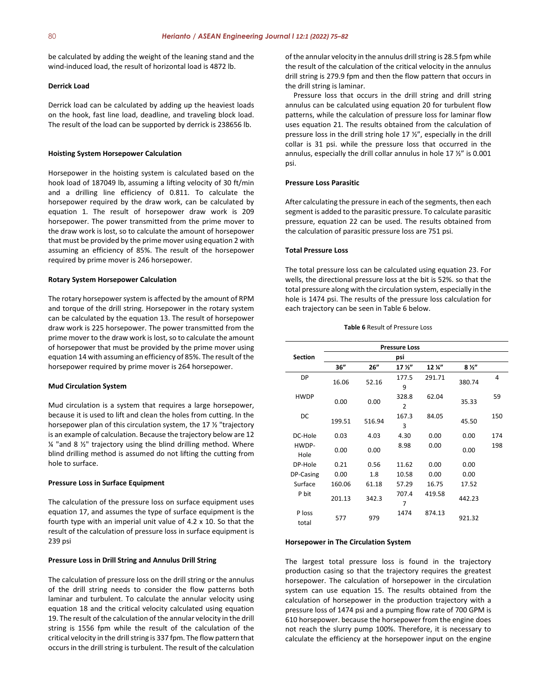be calculated by adding the weight of the leaning stand and the wind-induced load, the result of horizontal load is 4872 lb.

# **Derrick Load**

Derrick load can be calculated by adding up the heaviest loads on the hook, fast line load, deadline, and traveling block load. The result of the load can be supported by derrick is 238656 lb.

#### **Hoisting System Horsepower Calculation**

Horsepower in the hoisting system is calculated based on the hook load of 187049 lb, assuming a lifting velocity of 30 ft/min and a drilling line efficiency of 0.811. To calculate the horsepower required by the draw work, can be calculated by equation 1. The result of horsepower draw work is 209 horsepower. The power transmitted from the prime mover to the draw work is lost, so to calculate the amount of horsepower that must be provided by the prime mover using equation 2 with assuming an efficiency of 85%. The result of the horsepower required by prime mover is 246 horsepower.

#### **Rotary System Horsepower Calculation**

The rotary horsepower system is affected by the amount of RPM and torque of the drill string. Horsepower in the rotary system can be calculated by the equation 13. The result of horsepower draw work is 225 horsepower. The power transmitted from the prime mover to the draw work is lost, so to calculate the amount of horsepower that must be provided by the prime mover using equation 14 with assuming an efficiency of 85%. The result of the horsepower required by prime mover is 264 horsepower.

#### **Mud Circulation System**

Mud circulation is a system that requires a large horsepower, because it is used to lift and clean the holes from cutting. In the horsepower plan of this circulation system, the 17 ½ "trajectory is an example of calculation. Because the trajectory below are 12  $\frac{1}{4}$  "and 8  $\frac{1}{2}$ " trajectory using the blind drilling method. Where blind drilling method is assumed do not lifting the cutting from hole to surface.

#### **Pressure Loss in Surface Equipment**

The calculation of the pressure loss on surface equipment uses equation 17, and assumes the type of surface equipment is the fourth type with an imperial unit value of 4.2 x 10. So that the result of the calculation of pressure loss in surface equipment is 239 psi

#### **Pressure Loss in Drill String and Annulus Drill String**

The calculation of pressure loss on the drill string or the annulus of the drill string needs to consider the flow patterns both laminar and turbulent. To calculate the annular velocity using equation 18 and the critical velocity calculated using equation 19. The result of the calculation of the annular velocity in the drill string is 1556 fpm while the result of the calculation of the critical velocity in the drill string is 337 fpm. The flow pattern that occurs in the drill string is turbulent. The result of the calculation of the annular velocity in the annulus drill string is 28.5 fpm while the result of the calculation of the critical velocity in the annulus drill string is 279.9 fpm and then the flow pattern that occurs in the drill string is laminar.

Pressure loss that occurs in the drill string and drill string annulus can be calculated using equation 20 for turbulent flow patterns, while the calculation of pressure loss for laminar flow uses equation 21. The results obtained from the calculation of pressure loss in the drill string hole 17 ½", especially in the drill collar is 31 psi. while the pressure loss that occurred in the annulus, especially the drill collar annulus in hole 17 ½" is 0.001 psi.

#### **Pressure Loss Parasitic**

After calculating the pressure in each of the segments, then each segment is added to the parasitic pressure. To calculate parasitic pressure, equation 22 can be used. The results obtained from the calculation of parasitic pressure loss are 751 psi.

#### **Total Pressure Loss**

The total pressure loss can be calculated using equation 23. For wells, the directional pressure loss at the bit is 52%. so that the total pressure along with the circulation system, especially in the hole is 1474 psi. The results of the pressure loss calculation for each trajectory can be seen in Table 6 below.

**Table 6** Result of Pressure Loss

| <b>Pressure Loss</b> |        |        |                         |        |                |     |
|----------------------|--------|--------|-------------------------|--------|----------------|-----|
| <b>Section</b>       |        |        | psi                     |        |                |     |
|                      | 36"    | 26''   | 17 <sup>2</sup>         | 12 %"  | 8 <sup>2</sup> |     |
| <b>DP</b>            | 16.06  | 52.16  | 177.5<br>9              | 291.71 | 380.74         | 4   |
| <b>HWDP</b>          | 0.00   | 0.00   | 328.8<br>$\overline{2}$ | 62.04  | 35.33          | 59  |
| DC                   | 199.51 | 516.94 | 167.3<br>3              | 84.05  | 45.50          | 150 |
| DC-Hole              | 0.03   | 4.03   | 4.30                    | 0.00   | 0.00           | 174 |
| HWDP-<br>Hole        | 0.00   | 0.00   | 8.98                    | 0.00   | 0.00           | 198 |
| DP-Hole              | 0.21   | 0.56   | 11.62                   | 0.00   | 0.00           |     |
| DP-Casing            | 0.00   | 1.8    | 10.58                   | 0.00   | 0.00           |     |
| Surface              | 160.06 | 61.18  | 57.29                   | 16.75  | 17.52          |     |
| P bit                | 201.13 | 342.3  | 707.4<br>7              | 419.58 | 442.23         |     |
| P loss<br>total      | 577    | 979    | 1474                    | 874.13 | 921.32         |     |

#### **Horsepower in The Circulation System**

The largest total pressure loss is found in the trajectory production casing so that the trajectory requires the greatest horsepower. The calculation of horsepower in the circulation system can use equation 15. The results obtained from the calculation of horsepower in the production trajectory with a pressure loss of 1474 psi and a pumping flow rate of 700 GPM is 610 horsepower. because the horsepower from the engine does not reach the slurry pump 100%. Therefore, it is necessary to calculate the efficiency at the horsepower input on the engine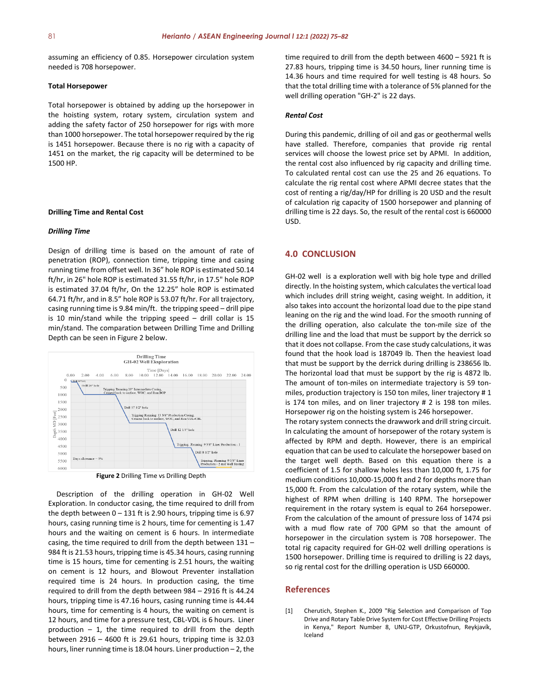assuming an efficiency of 0.85. Horsepower circulation system needed is 708 horsepower.

### **Total Horsepower**

Total horsepower is obtained by adding up the horsepower in the hoisting system, rotary system, circulation system and adding the safety factor of 250 horsepower for rigs with more than 1000 horsepower. The total horsepower required by the rig is 1451 horsepower. Because there is no rig with a capacity of 1451 on the market, the rig capacity will be determined to be 1500 HP.

#### **Drilling Time and Rental Cost**

#### *Drilling Time*

Design of drilling time is based on the amount of rate of penetration (ROP), connection time, tripping time and casing running time from offset well. In 36" hole ROP is estimated 50.14 ft/hr, in 26" hole ROP is estimated 31.55 ft/hr, in 17.5" hole ROP is estimated 37.04 ft/hr, On the 12.25" hole ROP is estimated 64.71 ft/hr, and in 8.5" hole ROP is 53.07 ft/hr. For all trajectory, casing running time is 9.84 min/ft. the tripping speed – drill pipe is 10 min/stand while the tripping speed – drill collar is 15 min/stand. The comparation between Drilling Time and Drilling Depth can be seen in Figure 2 below.



**Figure 2** Drilling Time vs Drilling Depth

Description of the drilling operation in GH-02 Well Exploration. In conductor casing, the time required to drill from the depth between  $0 - 131$  ft is 2.90 hours, tripping time is 6.97 hours, casing running time is 2 hours, time for cementing is 1.47 hours and the waiting on cement is 6 hours. In intermediate casing, the time required to drill from the depth between 131 – 984 ft is 21.53 hours, tripping time is 45.34 hours, casing running time is 15 hours, time for cementing is 2.51 hours, the waiting on cement is 12 hours, and Blowout Preventer installation required time is 24 hours. In production casing, the time required to drill from the depth between 984 – 2916 ft is 44.24 hours, tripping time is 47.16 hours, casing running time is 44.44 hours, time for cementing is 4 hours, the waiting on cement is 12 hours, and time for a pressure test, CBL-VDL is 6 hours. Liner production  $-1$ , the time required to drill from the depth between 2916 – 4600 ft is 29.61 hours, tripping time is 32.03 hours, liner running time is 18.04 hours. Liner production – 2, the time required to drill from the depth between 4600 – 5921 ft is 27.83 hours, tripping time is 34.50 hours, liner running time is 14.36 hours and time required for well testing is 48 hours. So that the total drilling time with a tolerance of 5% planned for the well drilling operation "GH-2" is 22 days.

#### *Rental Cost*

During this pandemic, drilling of oil and gas or geothermal wells have stalled. Therefore, companies that provide rig rental services will choose the lowest price set by APMI. In addition, the rental cost also influenced by rig capacity and drilling time. To calculated rental cost can use the 25 and 26 equations. To calculate the rig rental cost where APMI decree states that the cost of renting a rig/day/HP for drilling is 20 USD and the result of calculation rig capacity of 1500 horsepower and planning of drilling time is 22 days. So, the result of the rental cost is 660000 USD.

# **4.0 CONCLUSION**

GH-02 well is a exploration well with big hole type and drilled directly. In the hoisting system, which calculates the vertical load which includes drill string weight, casing weight. In addition, it also takes into account the horizontal load due to the pipe stand leaning on the rig and the wind load. For the smooth running of the drilling operation, also calculate the ton-mile size of the drilling line and the load that must be support by the derrick so that it does not collapse. From the case study calculations, it was found that the hook load is 187049 lb. Then the heaviest load that must be support by the derrick during drilling is 238656 lb. The horizontal load that must be support by the rig is 4872 lb. The amount of ton-miles on intermediate trajectory is 59 tonmiles, production trajectory is 150 ton miles, liner trajectory # 1 is 174 ton miles, and on liner trajectory # 2 is 198 ton miles. Horsepower rig on the hoisting system is 246 horsepower. The rotary system connects the drawwork and drill string circuit. In calculating the amount of horsepower of the rotary system is affected by RPM and depth. However, there is an empirical equation that can be used to calculate the horsepower based on the target well depth. Based on this equation there is a coefficient of 1.5 for shallow holes less than 10,000 ft, 1.75 for medium conditions 10,000-15,000 ft and 2 for depths more than 15,000 ft. From the calculation of the rotary system, while the highest of RPM when drilling is 140 RPM. The horsepower requirement in the rotary system is equal to 264 horsepower. From the calculation of the amount of pressure loss of 1474 psi with a mud flow rate of 700 GPM so that the amount of horsepower in the circulation system is 708 horsepower. The total rig capacity required for GH-02 well drilling operations is 1500 horsepower. Drilling time is required to drilling is 22 days,

#### **References**

[1] Cherutich, Stephen K., 2009 "Rig Selection and Comparison of Top Drive and Rotary Table Drive System for Cost Effective Drilling Projects in Kenya," Report Number 8, UNU-GTP, Orkustofnun, Reykjavík, Iceland

so rig rental cost for the drilling operation is USD 660000.